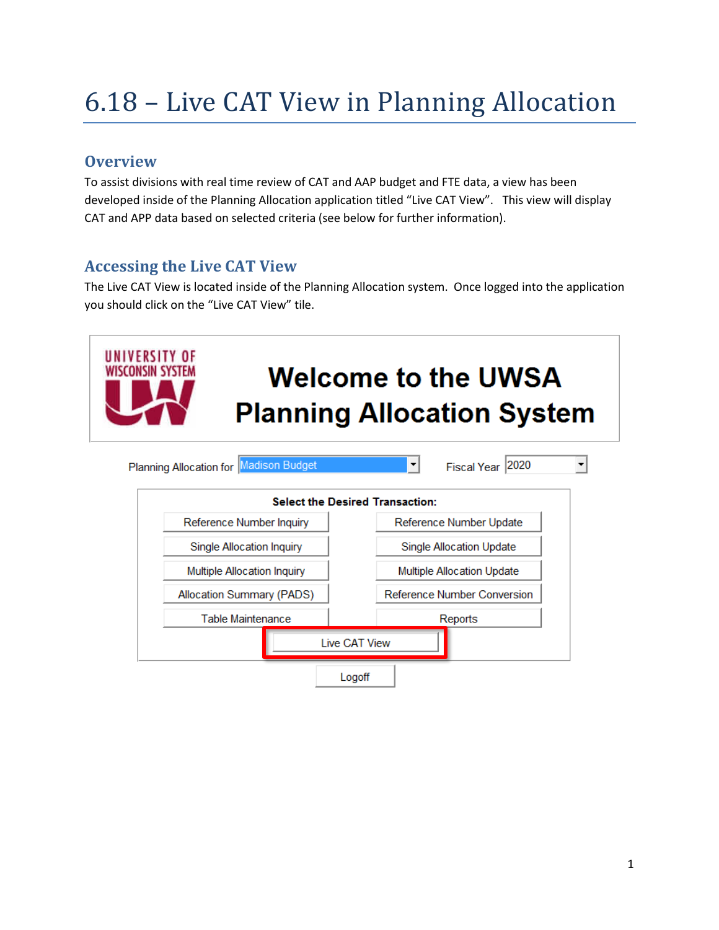## 6.18 – Live CAT View in Planning Allocation

## **Overview**

To assist divisions with real time review of CAT and AAP budget and FTE data, a view has been developed inside of the Planning Allocation application titled "Live CAT View". This view will display CAT and APP data based on selected criteria (see below for further information).

## **Accessing the Live CAT View**

The Live CAT View is located inside of the Planning Allocation system. Once logged into the application you should click on the "Live CAT View" tile.

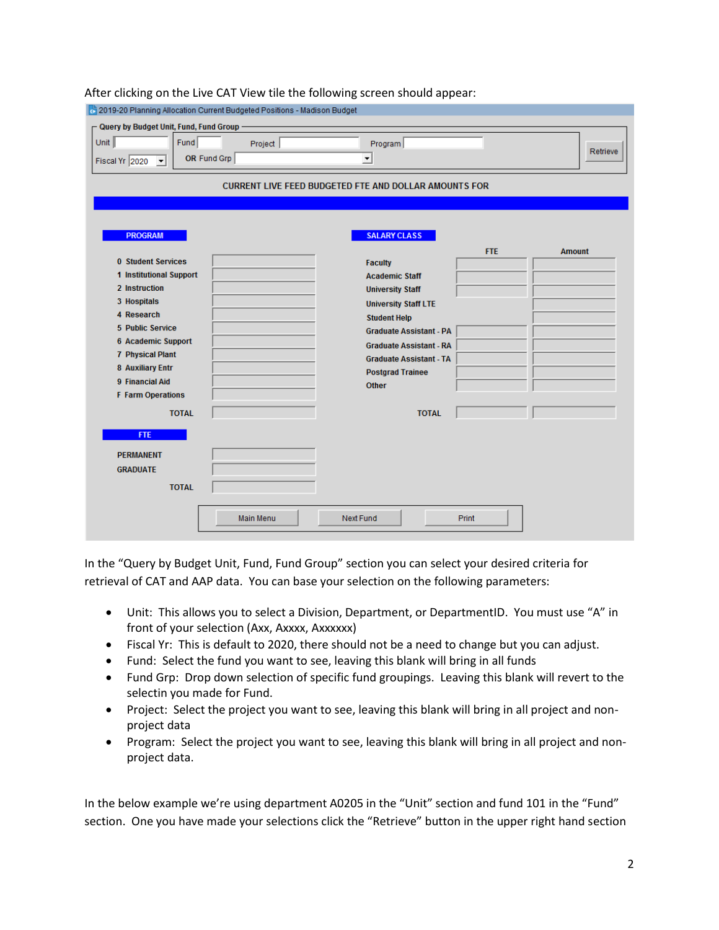|                                                                                                                                              | 2019-20 Planning Allocation Current Budgeted Positions - Madison Budget |                                                                                                                                                                                                     |            |               |
|----------------------------------------------------------------------------------------------------------------------------------------------|-------------------------------------------------------------------------|-----------------------------------------------------------------------------------------------------------------------------------------------------------------------------------------------------|------------|---------------|
| Query by Budget Unit, Fund, Fund Group -                                                                                                     |                                                                         |                                                                                                                                                                                                     |            |               |
| Unit<br>Fund<br>Fiscal Yr 2020<br>$\vert \mathbf{v} \vert$                                                                                   | Project<br>OR Fund Grp                                                  | Program<br>$\blacktriangledown$                                                                                                                                                                     |            | Retrieve      |
|                                                                                                                                              |                                                                         | <b>CURRENT LIVE FEED BUDGETED FTE AND DOLLAR AMOUNTS FOR</b>                                                                                                                                        |            |               |
|                                                                                                                                              |                                                                         |                                                                                                                                                                                                     |            |               |
| <b>PROGRAM</b><br><b>0 Student Services</b><br>1 Institutional Support<br>2 Instruction                                                      |                                                                         | <b>SALARY CLASS</b><br><b>Faculty</b><br><b>Academic Staff</b><br><b>University Staff</b>                                                                                                           | <b>FTE</b> | <b>Amount</b> |
| 3 Hospitals<br>4 Research<br><b>5 Public Service</b><br>6 Academic Support<br><b>7 Physical Plant</b><br>8 Auxiliary Entr<br>9 Financial Aid |                                                                         | <b>University Staff LTE</b><br><b>Student Help</b><br><b>Graduate Assistant - PA</b><br><b>Graduate Assistant - RA</b><br><b>Graduate Assistant - TA</b><br><b>Postgrad Trainee</b><br><b>Other</b> |            |               |
| <b>F</b> Farm Operations<br><b>TOTAL</b>                                                                                                     |                                                                         | <b>TOTAL</b>                                                                                                                                                                                        |            |               |
| <b>FTE</b><br><b>PERMANENT</b><br><b>GRADUATE</b><br><b>TOTAL</b>                                                                            |                                                                         |                                                                                                                                                                                                     |            |               |
|                                                                                                                                              | <b>Main Menu</b>                                                        | <b>Next Fund</b>                                                                                                                                                                                    | Print      |               |

After clicking on the Live CAT View tile the following screen should appear:

In the "Query by Budget Unit, Fund, Fund Group" section you can select your desired criteria for retrieval of CAT and AAP data. You can base your selection on the following parameters:

- Unit: This allows you to select a Division, Department, or DepartmentID. You must use "A" in front of your selection (Axx, Axxxx, Axxxxxx)
- Fiscal Yr: This is default to 2020, there should not be a need to change but you can adjust.
- Fund: Select the fund you want to see, leaving this blank will bring in all funds
- Fund Grp: Drop down selection of specific fund groupings. Leaving this blank will revert to the selectin you made for Fund.
- Project: Select the project you want to see, leaving this blank will bring in all project and nonproject data
- Program: Select the project you want to see, leaving this blank will bring in all project and nonproject data.

In the below example we're using department A0205 in the "Unit" section and fund 101 in the "Fund" section. One you have made your selections click the "Retrieve" button in the upper right hand section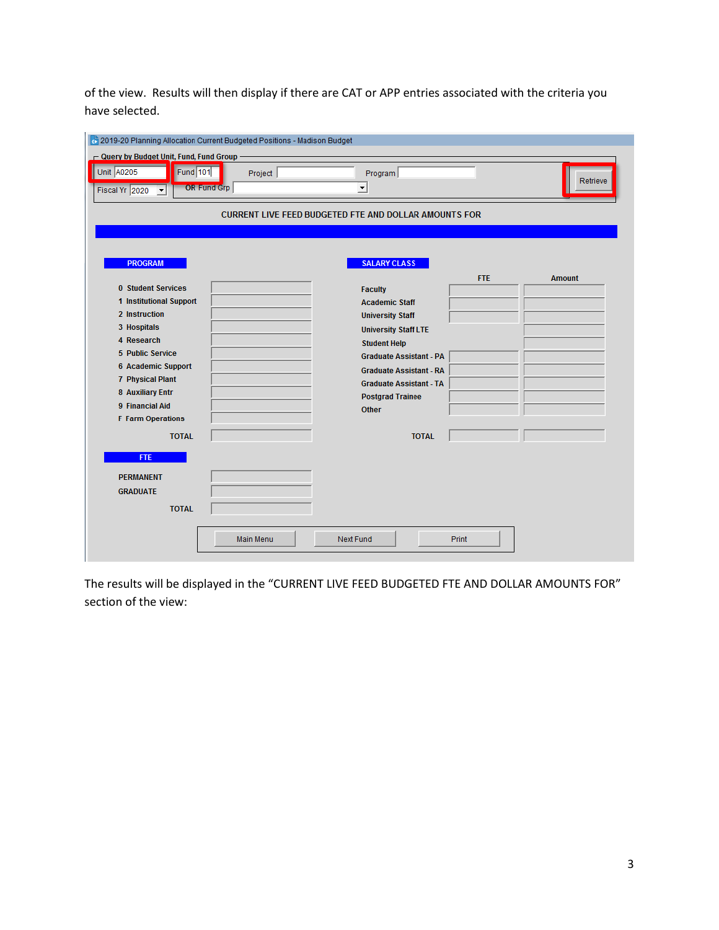of the view. Results will then display if there are CAT or APP entries associated with the criteria you have selected.

| 2019-20 Planning Allocation Current Budgeted Positions - Madison Budget<br>- Query by Budget Unit, Fund, Fund Group -<br><b>Unit A0205</b><br><b>Fund 101</b><br>Project<br><b>OR Fund Grp</b><br>Fiscal Yr 2020<br>$\vert \cdot \vert$                                                                                                                  | Program<br>$\blacktriangledown$<br><b>CURRENT LIVE FEED BUDGETED FTE AND DOLLAR AMOUNTS FOR</b>                                                                                                                                                                                                                                | Retrieve      |
|----------------------------------------------------------------------------------------------------------------------------------------------------------------------------------------------------------------------------------------------------------------------------------------------------------------------------------------------------------|--------------------------------------------------------------------------------------------------------------------------------------------------------------------------------------------------------------------------------------------------------------------------------------------------------------------------------|---------------|
| <b>PROGRAM</b><br>0 Student Services<br>1 Institutional Support<br>2 Instruction<br>3 Hospitals<br>4 Research<br><b>5 Public Service</b><br>6 Academic Support<br><b>7 Physical Plant</b><br><b>8 Auxiliary Entr</b><br>9 Financial Aid<br><b>F</b> Farm Operations<br><b>TOTAL</b><br><b>FTE</b><br><b>PERMANENT</b><br><b>GRADUATE</b><br><b>TOTAL</b> | <b>SALARY CLASS</b><br><b>FTE</b><br><b>Faculty</b><br><b>Academic Staff</b><br><b>University Staff</b><br><b>University Staff LTE</b><br><b>Student Help</b><br><b>Graduate Assistant - PA</b><br><b>Graduate Assistant - RA</b><br><b>Graduate Assistant - TA</b><br><b>Postgrad Trainee</b><br><b>Other</b><br><b>TOTAL</b> | <b>Amount</b> |
| <b>Main Menu</b>                                                                                                                                                                                                                                                                                                                                         | <b>Next Fund</b><br>Print                                                                                                                                                                                                                                                                                                      |               |

The results will be displayed in the "CURRENT LIVE FEED BUDGETED FTE AND DOLLAR AMOUNTS FOR" section of the view: